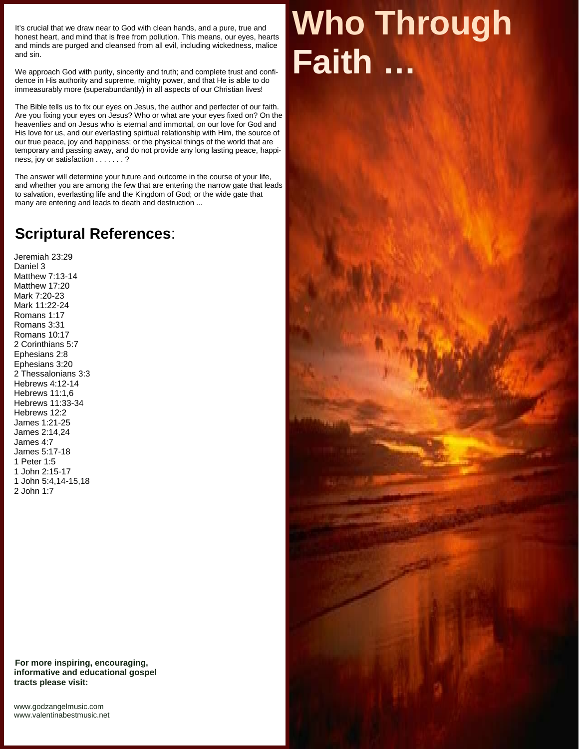It's crucial that we draw near to God with clean hands, and a pure, true and honest heart, and mind that is free from pollution. This means, our eyes, hearts and minds are purged and cleansed from all evil, including wickedness, malice and sin.

We approach God with purity, sincerity and truth; and complete trust and confidence in His authority and supreme, mighty power, and that He is able to do immeasurably more (superabundantly) in all aspects of our Christian lives!

The Bible tells us to fix our eyes on Jesus, the author and perfecter of our faith. Are you fixing your eyes on Jesus? Who or what are your eyes fixed on? On the heavenlies and on Jesus who is eternal and immortal, on our love for God and His love for us, and our everlasting spiritual relationship with Him, the source of our true peace, joy and happiness; or the physical things of the world that are temporary and passing away, and do not provide any long lasting peace, happiness, joy or satisfaction . . . . . . . ?

The answer will determine your future and outcome in the course of your life, and whether you are among the few that are entering the narrow gate that leads to salvation, everlasting life and the Kingdom of God; or the wide gate that many are entering and leads to death and destruction ...

## **Scriptural References**:

Jeremiah 23:29 Daniel 3 Matthew 7:13-14 Matthew 17:20 Mark 7:20-23 Mark 11:22-24 Romans 1:17 Romans 3:31 Romans 10:17 2 Corinthians 5:7 Ephesians 2:8 Ephesians 3:20 2 Thessalonians 3:3 Hebrews 4:12-14 Hebrews 11:1,6 Hebrews 11:33-34 Hebrews 12:2 James 1:21-25 James 2:14,24 James 4:7 James 5:17-18 1 Peter 1:5 1 John 2:15-17 1 John 5:4,14-15,18 2 John 1:7

**For more inspiring, encouraging, informative and educational gospel tracts please visit:**

<www.godzangelmusic.com> <www.valentinabestmusic.net>

## **Who Through Faith …**